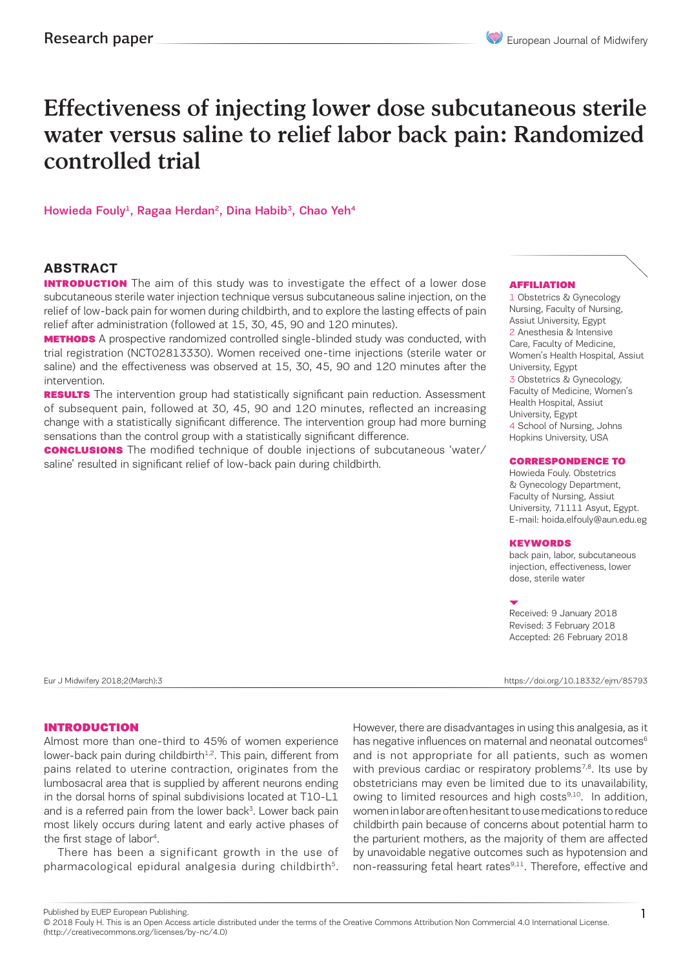# Effectiveness of injecting lower dose subcutaneous sterile water versus saline to relief labor back pain: Randomized controlled trial

Howieda Fouly<sup>1</sup>, Ragaa Herdan<sup>2</sup>, Dina Habib<sup>3</sup>, Chao Yeh<sup>4</sup>

#### **ABSTRACT**

**INTRODUCTION** The aim of this study was to investigate the effect of a lower dose subcutaneous sterile water injection technique versus subcutaneous saline injection, on the relief of low-back pain for women during childbirth, and to explore the lasting effects of pain relief after administration (followed at 15, 30, 45, 90 and 120 minutes).

**METHODS** A prospective randomized controlled single-blinded study was conducted, with trial registration (NCT02813330). Women received one-time injections (sterile water or saline) and the effectiveness was observed at 15, 30, 45, 90 and 120 minutes after the intervention.

**RESULTS** The intervention group had statistically significant pain reduction. Assessment of subsequent pain, followed at 30, 45, 90 and 120 minutes, reflected an increasing change with a statistically significant difference. The intervention group had more burning sensations than the control group with a statistically significant difference.

**CONCLUSIONS** The modified technique of double injections of subcutaneous 'water/ saline' resulted in significant relief of low-back pain during childbirth.

#### AFFILIATION

1 Obstetrics & Gynecology Nursing, Faculty of Nursing, Assiut University, Egypt 2 Anesthesia & Intensive Care, Faculty of Medicine, Women's Health Hospital, Assiut University, Egypt 3 Obstetrics & Gynecology, Faculty of Medicine, Women's Health Hospital, Assiut University, Egypt 4 School of Nursing, Johns Hopkins University, USA

#### CORRESPONDENCE TO

Howieda Fouly. Obstetrics & Gynecology Department, Faculty of Nursing, Assiut University, 71111 Asyut, Egypt. E-mail: hoida.elfouly@aun.edu.eg

#### **KEYWORDS**

back pain, labor, subcutaneous injection, effectiveness, lower dose, sterile water

Received: 9 January 2018 Revised: 3 February 2018 Accepted: 26 February 2018

Eur J Midwifery 2018;2(March):3 https://doi.org/10.18332/ejm/85793

#### INTRODUCTION

Almost more than one-third to 45% of women experience lower-back pain during childbirth<sup>1,2</sup>. This pain, different from pains related to uterine contraction, originates from the lumbosacral area that is supplied by afferent neurons ending in the dorsal horns of spinal subdivisions located at T10-L1 and is a referred pain from the lower back<sup>3</sup>. Lower back pain most likely occurs during latent and early active phases of the first stage of labor<sup>4</sup>.

There has been a significant growth in the use of pharmacological epidural analgesia during childbirth<sup>5</sup>. However, there are disadvantages in using this analgesia, as it has negative influences on maternal and neonatal outcomes<sup>6</sup> and is not appropriate for all patients, such as women with previous cardiac or respiratory problems<sup>7,8</sup>. Its use by obstetricians may even be limited due to its unavailability, owing to limited resources and high costs<sup>9,10</sup>. In addition, women in labor are often hesitant to use medications to reduce childbirth pain because of concerns about potential harm to the parturient mothers, as the majority of them are affected by unavoidable negative outcomes such as hypotension and non-reassuring fetal heart rates<sup>9,11</sup>. Therefore, effective and

Published by EUEP European Publishing.

<sup>© 2018</sup> Fouly H. This is an Open Access article distributed under the terms of the Creative Commons Attribution Non Commercial 4.0 International License. (http://creativecommons.org/licenses/by-nc/4.0)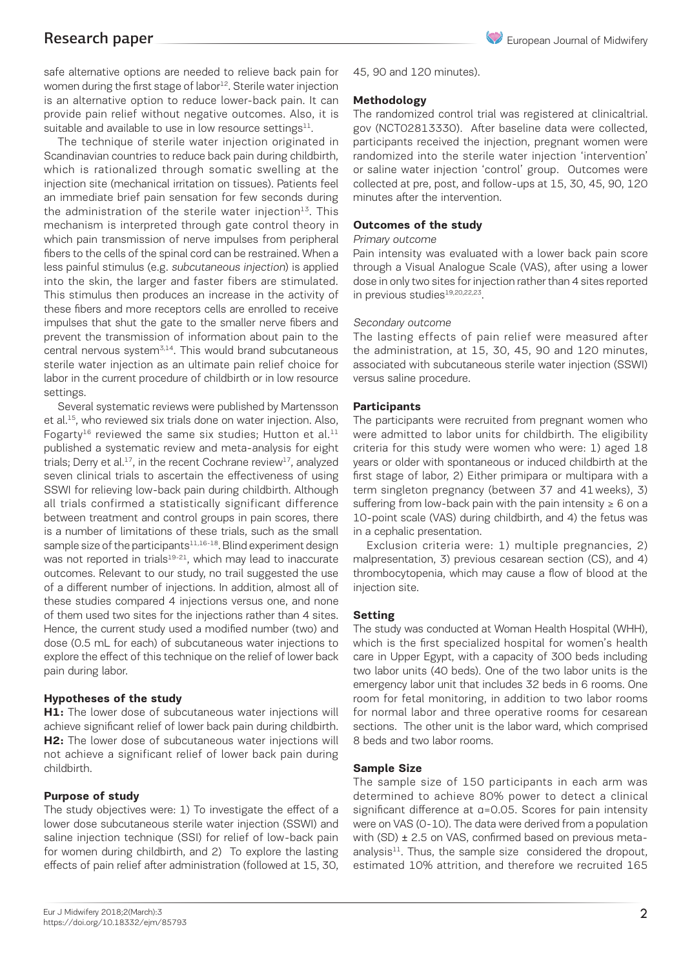safe alternative options are needed to relieve back pain for women during the first stage of labor<sup>12</sup>. Sterile water injection is an alternative option to reduce lower-back pain. It can provide pain relief without negative outcomes. Also, it is suitable and available to use in low resource settings $11$ .

The technique of sterile water injection originated in Scandinavian countries to reduce back pain during childbirth, which is rationalized through somatic swelling at the injection site (mechanical irritation on tissues). Patients feel an immediate brief pain sensation for few seconds during the administration of the sterile water injection $13$ . This mechanism is interpreted through gate control theory in which pain transmission of nerve impulses from peripheral fibers to the cells of the spinal cord can be restrained. When a less painful stimulus (e.g. subcutaneous injection) is applied into the skin, the larger and faster fibers are stimulated. This stimulus then produces an increase in the activity of these fibers and more receptors cells are enrolled to receive impulses that shut the gate to the smaller nerve fibers and prevent the transmission of information about pain to the central nervous system<sup>3,14</sup>. This would brand subcutaneous sterile water injection as an ultimate pain relief choice for labor in the current procedure of childbirth or in low resource settings.

Several systematic reviews were published by Martensson et al.<sup>15</sup>, who reviewed six trials done on water injection. Also, Fogarty<sup>16</sup> reviewed the same six studies; Hutton et al.<sup>11</sup> published a systematic review and meta-analysis for eight trials; Derry et al.<sup>17</sup>, in the recent Cochrane review<sup>17</sup>, analyzed seven clinical trials to ascertain the effectiveness of using SSWI for relieving low-back pain during childbirth. Although all trials confirmed a statistically significant difference between treatment and control groups in pain scores, there is a number of limitations of these trials, such as the small sample size of the participants<sup>11,16-18</sup>. Blind experiment design was not reported in trials<sup>19-21</sup>, which may lead to inaccurate outcomes. Relevant to our study, no trail suggested the use of a different number of injections. In addition, almost all of these studies compared 4 injections versus one, and none of them used two sites for the injections rather than 4 sites. Hence, the current study used a modified number (two) and dose (0.5 mL for each) of subcutaneous water injections to explore the effect of this technique on the relief of lower back pain during labor.

#### **Hypotheses of the study**

**H1:** The lower dose of subcutaneous water injections will achieve significant relief of lower back pain during childbirth. **H2:** The lower dose of subcutaneous water injections will not achieve a significant relief of lower back pain during childbirth.

#### **Purpose of study**

The study objectives were: 1) To investigate the effect of a lower dose subcutaneous sterile water injection (SSWI) and saline injection technique (SSI) for relief of low-back pain for women during childbirth, and 2) To explore the lasting effects of pain relief after administration (followed at 15, 30,

45, 90 and 120 minutes).

#### **Methodology**

The randomized control trial was registered at clinicaltrial. gov (NCT02813330). After baseline data were collected, participants received the injection, pregnant women were randomized into the sterile water injection 'intervention' or saline water injection 'control' group. Outcomes were collected at pre, post, and follow-ups at 15, 30, 45, 90, 120 minutes after the intervention.

#### **Outcomes of the study**

#### Primary outcome

Pain intensity was evaluated with a lower back pain score through a Visual Analogue Scale (VAS), after using a lower dose in only two sites for injection rather than 4 sites reported in previous studies<sup>19,20,22,23</sup>.

#### Secondary outcome

The lasting effects of pain relief were measured after the administration, at 15, 30, 45, 90 and 120 minutes, associated with subcutaneous sterile water injection (SSWI) versus saline procedure.

#### **Participants**

The participants were recruited from pregnant women who were admitted to labor units for childbirth. The eligibility criteria for this study were women who were: 1) aged 18 years or older with spontaneous or induced childbirth at the first stage of labor, 2) Either primipara or multipara with a term singleton pregnancy (between 37 and 41weeks), 3) suffering from low-back pain with the pain intensity  $\geq 6$  on a 10-point scale (VAS) during childbirth, and 4) the fetus was in a cephalic presentation.

Exclusion criteria were: 1) multiple pregnancies, 2) malpresentation, 3) previous cesarean section (CS), and 4) thrombocytopenia, which may cause a flow of blood at the injection site.

#### **Setting**

The study was conducted at Woman Health Hospital (WHH), which is the first specialized hospital for women's health care in Upper Egypt, with a capacity of 300 beds including two labor units (40 beds). One of the two labor units is the emergency labor unit that includes 32 beds in 6 rooms. One room for fetal monitoring, in addition to two labor rooms for normal labor and three operative rooms for cesarean sections. The other unit is the labor ward, which comprised 8 beds and two labor rooms.

#### **Sample Size**

The sample size of 150 participants in each arm was determined to achieve 80% power to detect a clinical significant difference at α=0.05. Scores for pain intensity were on VAS (0-10). The data were derived from a population with (SD) ± 2.5 on VAS, confirmed based on previous metaanalysis $11$ . Thus, the sample size considered the dropout, estimated 10% attrition, and therefore we recruited 165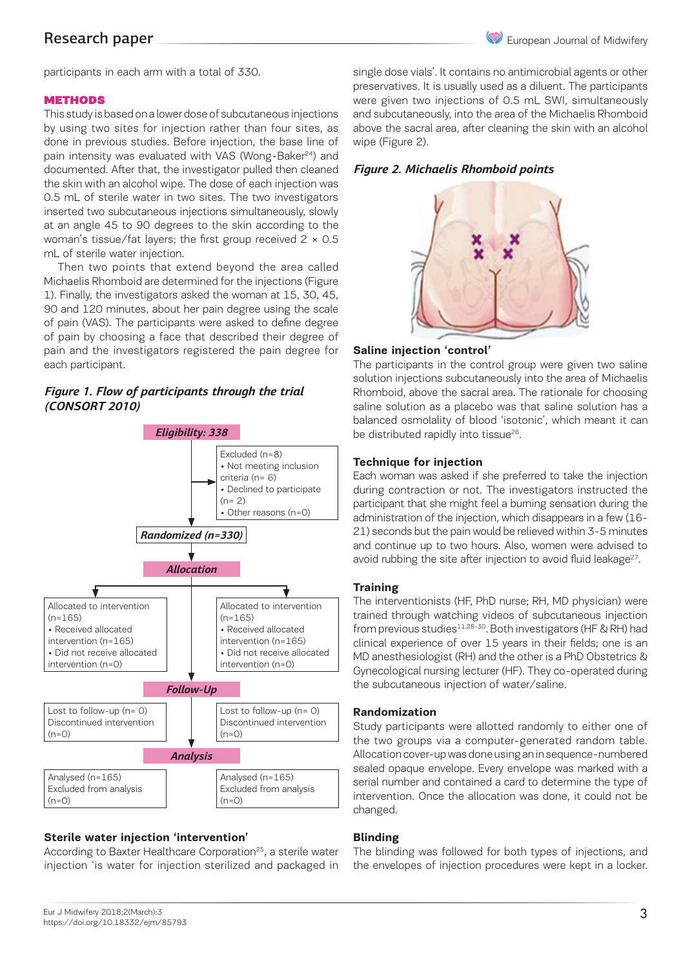

participants in each arm with a total of 330.

#### **METHODS**

This study is based on a lower dose of subcutaneous injections by using two sites for injection rather than four sites, as done in previous studies. Before injection, the base line of pain intensity was evaluated with VAS (Wong-Baker<sup>24</sup>) and documented. After that, the investigator pulled then cleaned the skin with an alcohol wipe. The dose of each injection was 0.5 mL of sterile water in two sites. The two investigators inserted two subcutaneous injections simultaneously, slowly at an angle 45 to 90 degrees to the skin according to the woman's tissue/fat layers; the first group received  $2 \times 0.5$ mL of sterile water injection.

Then two points that extend beyond the area called Michaelis Rhomboid are determined for the injections (Figure 1). Finally, the investigators asked the woman at 15, 30, 45, 90 and 120 minutes, about her pain degree using the scale of pain (VAS). The participants were asked to define degree of pain by choosing a face that described their degree of pain and the investigators registered the pain degree for each participant.

### *Figure 1. Flow of participants through the trial (CONSORT 2010)*



#### **Sterile water injection 'intervention'**

According to Baxter Healthcare Corporation<sup>25</sup>, a sterile water injection 'is water for injection sterilized and packaged in single dose vials'. It contains no antimicrobial agents or other preservatives. It is usually used as a diluent. The participants were given two injections of 0.5 mL SWI, simultaneously and subcutaneously, into the area of the Michaelis Rhomboid above the sacral area, after cleaning the skin with an alcohol wipe (Figure 2).

### *Figure 2. Michaelis Rhomboid points*



#### **Saline injection 'control'**

The participants in the control group were given two saline solution injections subcutaneously into the area of Michaelis Rhomboid, above the sacral area. The rationale for choosing saline solution as a placebo was that saline solution has a balanced osmolality of blood 'isotonic', which meant it can be distributed rapidly into tissue<sup>26</sup>.

#### **Technique for injection**

Each woman was asked if she preferred to take the injection during contraction or not. The investigators instructed the participant that she might feel a burning sensation during the administration of the injection, which disappears in a few (16- 21) seconds but the pain would be relieved within 3-5 minutes and continue up to two hours. Also, women were advised to avoid rubbing the site after injection to avoid fluid leakage<sup>27</sup>.

#### **Training**

The interventionists (HF, PhD nurse; RH, MD physician) were trained through watching videos of subcutaneous injection from previous studies<sup>11,28-30</sup>. Both investigators (HF & RH) had clinical experience of over 15 years in their fields; one is an MD anesthesiologist (RH) and the other is a PhD Obstetrics & Gynecological nursing lecturer (HF). They co-operated during the subcutaneous injection of water/saline.

#### **Randomization**

Study participants were allotted randomly to either one of the two groups via a computer-generated random table. Allocation cover-up was done using an in sequence-numbered sealed opaque envelope. Every envelope was marked with a serial number and contained a card to determine the type of intervention. Once the allocation was done, it could not be changed.

#### **Blinding**

The blinding was followed for both types of injections, and the envelopes of injection procedures were kept in a locker.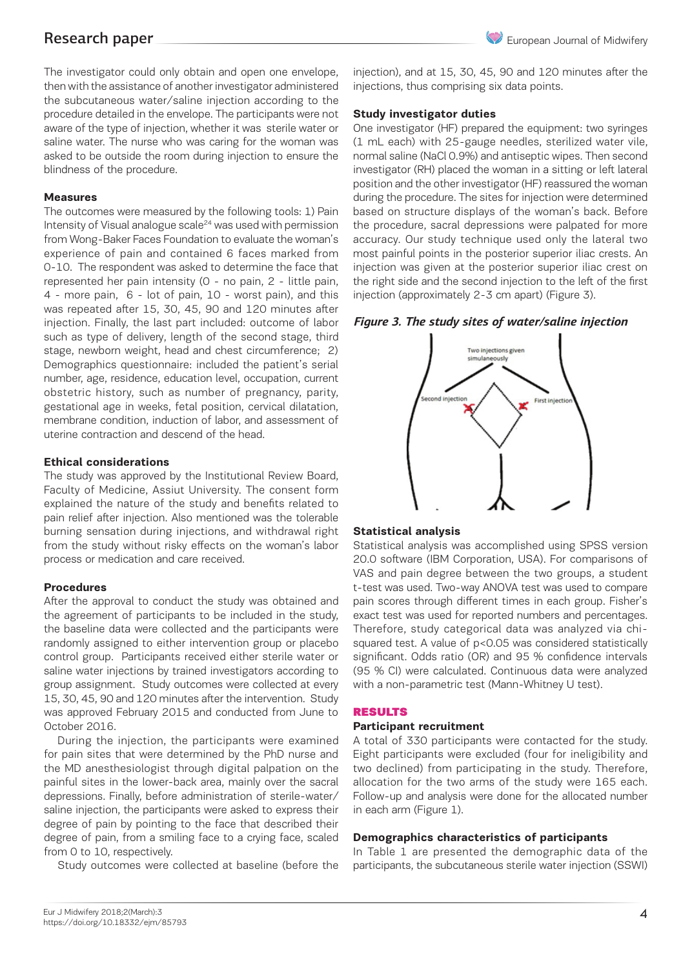The investigator could only obtain and open one envelope, then with the assistance of another investigator administered the subcutaneous water/saline injection according to the procedure detailed in the envelope. The participants were not aware of the type of injection, whether it was sterile water or saline water. The nurse who was caring for the woman was asked to be outside the room during injection to ensure the blindness of the procedure.

#### **Measures**

The outcomes were measured by the following tools: 1) Pain Intensity of Visual analogue scale<sup>24</sup> was used with permission from Wong-Baker Faces Foundation to evaluate the woman's experience of pain and contained 6 faces marked from 0-10. The respondent was asked to determine the face that represented her pain intensity (0 - no pain, 2 - little pain, 4 - more pain, 6 - lot of pain, 10 - worst pain), and this was repeated after 15, 30, 45, 90 and 120 minutes after injection. Finally, the last part included: outcome of labor such as type of delivery, length of the second stage, third stage, newborn weight, head and chest circumference; 2) Demographics questionnaire: included the patient's serial number, age, residence, education level, occupation, current obstetric history, such as number of pregnancy, parity, gestational age in weeks, fetal position, cervical dilatation, membrane condition, induction of labor, and assessment of uterine contraction and descend of the head.

#### **Ethical considerations**

The study was approved by the Institutional Review Board, Faculty of Medicine, Assiut University. The consent form explained the nature of the study and benefits related to pain relief after injection. Also mentioned was the tolerable burning sensation during injections, and withdrawal right from the study without risky effects on the woman's labor process or medication and care received.

#### **Procedures**

After the approval to conduct the study was obtained and the agreement of participants to be included in the study, the baseline data were collected and the participants were randomly assigned to either intervention group or placebo control group. Participants received either sterile water or saline water injections by trained investigators according to group assignment. Study outcomes were collected at every 15, 30, 45, 90 and 120 minutes after the intervention. Study was approved February 2015 and conducted from June to October 2016.

During the injection, the participants were examined for pain sites that were determined by the PhD nurse and the MD anesthesiologist through digital palpation on the painful sites in the lower-back area, mainly over the sacral depressions. Finally, before administration of sterile-water/ saline injection, the participants were asked to express their degree of pain by pointing to the face that described their degree of pain, from a smiling face to a crying face, scaled from 0 to 10, respectively.

Study outcomes were collected at baseline (before the

injection), and at 15, 30, 45, 90 and 120 minutes after the injections, thus comprising six data points.

#### **Study investigator duties**

One investigator (HF) prepared the equipment: two syringes (1 mL each) with 25-gauge needles, sterilized water vile, normal saline (NaCl 0.9%) and antiseptic wipes. Then second investigator (RH) placed the woman in a sitting or left lateral position and the other investigator (HF) reassured the woman during the procedure. The sites for injection were determined based on structure displays of the woman's back. Before the procedure, sacral depressions were palpated for more accuracy. Our study technique used only the lateral two most painful points in the posterior superior iliac crests. An injection was given at the posterior superior iliac crest on the right side and the second injection to the left of the first injection (approximately 2-3 cm apart) (Figure 3).

#### *Figure 3. The study sites of water/saline injection*



#### **Statistical analysis**

Statistical analysis was accomplished using SPSS version 20.0 software (IBM Corporation, USA). For comparisons of VAS and pain degree between the two groups, a student t-test was used. Two-way ANOVA test was used to compare pain scores through different times in each group. Fisher's exact test was used for reported numbers and percentages. Therefore, study categorical data was analyzed via chisquared test. A value of p<0.05 was considered statistically significant. Odds ratio (OR) and 95 % confidence intervals (95 % CI) were calculated. Continuous data were analyzed with a non-parametric test (Mann-Whitney U test).

#### RESULTS

#### **Participant recruitment**

A total of 330 participants were contacted for the study. Eight participants were excluded (four for ineligibility and two declined) from participating in the study. Therefore, allocation for the two arms of the study were 165 each. Follow-up and analysis were done for the allocated number in each arm (Figure 1).

#### **Demographics characteristics of participants**

In Table 1 are presented the demographic data of the participants, the subcutaneous sterile water injection (SSWI)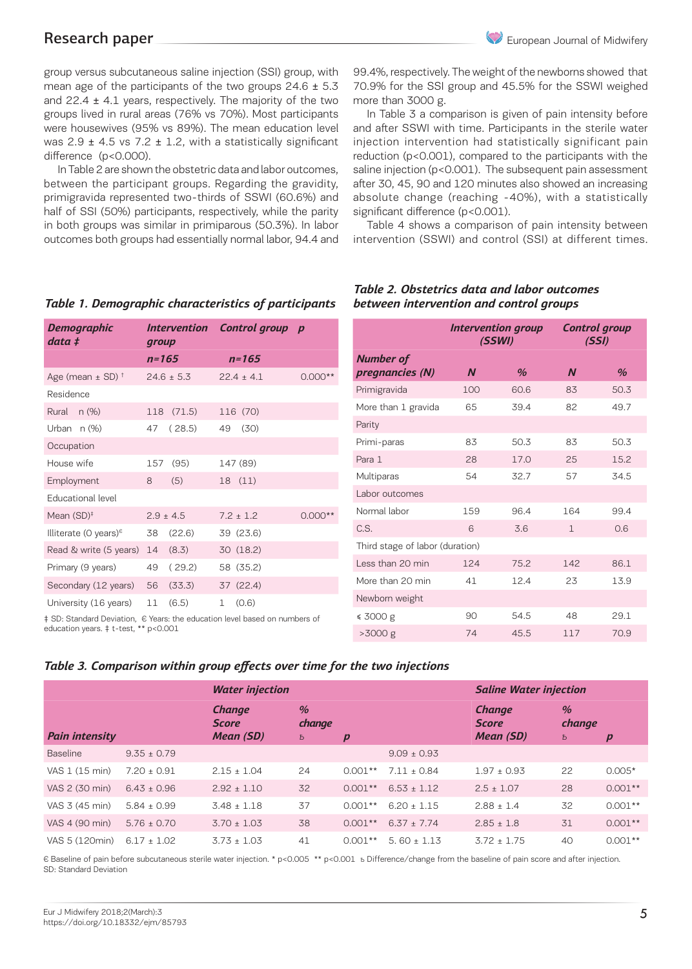*Demographic data ‡*

Residence

**Occupation** 

group versus subcutaneous saline injection (SSI) group, with mean age of the participants of the two groups  $24.6 \pm 5.3$ and  $22.4 \pm 4.1$  years, respectively. The majority of the two groups lived in rural areas (76% vs 70%). Most participants were housewives (95% vs 89%). The mean education level was  $2.9 \pm 4.5$  vs 7.2  $\pm$  1.2, with a statistically significant difference (p<0.000).

In Table 2 are shown the obstetric data and labor outcomes, between the participant groups. Regarding the gravidity, primigravida represented two-thirds of SSWI (60.6%) and half of SSI (50%) participants, respectively, while the parity in both groups was similar in primiparous (50.3%). In labor outcomes both groups had essentially normal labor, 94.4 and

### *Table 1. Demographic characteristics of participants*

*n=165 n=165* Age (mean  $\pm$  SD) <sup>†</sup> 24.6  $\pm$  5.3 22.4  $\pm$  4.1 0.000\*

*Control group p*

*Intervention group*

Rural n (%) 118 (71.5) 116 (70) Urban n (%) 47 ( 28.5) 49 (30)

House wife  $157$  (95) 147 (89) Employment 8 (5) 18 (11)

Educational level Mean (SD)<sup>+</sup>  $2.9 \pm 4.5$   $7.2 \pm 1.2$  0.000<sup>\*</sup> Illiterate (0 years) $\frac{1}{5}$  38 (22.6) 39 (23.6) Read & write (5 years) 14 (8.3) 30 (18.2) Primary (9 years) 49 ( 29.2) 58 (35.2) Secondary (12 years) 56 (33.3) 37 (22.4) University  $(16 \text{ years})$   $11 (6.5)$   $1 (0.6)$ 

‡ SD: Standard Deviation, € Years: the education level based on numbers of education years. ‡ t-test, \*\* p<0.001

99.4%, respectively. The weight of the newborns showed that 70.9% for the SSI group and 45.5% for the SSWI weighed more than 3000 g.

In Table 3 a comparison is given of pain intensity before and after SSWI with time. Participants in the sterile water injection intervention had statistically significant pain reduction (p<0.001), compared to the participants with the saline injection (p<0.001). The subsequent pain assessment after 30, 45, 90 and 120 minutes also showed an increasing absolute change (reaching -40%), with a statistically significant difference (p<0.001).

Table 4 shows a comparison of pain intensity between intervention (SSWI) and control (SSI) at different times.

|                                     |                  | <b>Intervention group</b><br>(SSWI) | <b>Control group</b><br>(SSI) |      |  |  |  |
|-------------------------------------|------------------|-------------------------------------|-------------------------------|------|--|--|--|
| <b>Number of</b><br>pregnancies (N) | $\boldsymbol{N}$ | $\%$                                | $\boldsymbol{N}$              | %    |  |  |  |
| Primigravida                        | 100              | 60.6                                | 83                            | 50.3 |  |  |  |
| More than 1 gravida                 | 65               | 39.4                                | 82                            | 49.7 |  |  |  |
| Parity                              |                  |                                     |                               |      |  |  |  |
| Primi-paras                         | 83               | 50.3                                | 83                            | 50.3 |  |  |  |
| Para 1                              | 28               | 17.0                                | 25                            | 15.2 |  |  |  |
| Multiparas                          | 54               | 32.7                                | 57                            | 34.5 |  |  |  |
| Labor outcomes                      |                  |                                     |                               |      |  |  |  |
| Normal labor                        | 159              | 96.4                                | 164                           | 99.4 |  |  |  |
| C.S.                                | 6                | 3.6                                 | $\mathbf{1}$                  | 0.6  |  |  |  |
| Third stage of labor (duration)     |                  |                                     |                               |      |  |  |  |
| Less than 20 min                    | 124              | 75.2                                | 142                           | 86.1 |  |  |  |
| More than 20 min                    | 41               | 12.4                                | 23                            | 13.9 |  |  |  |
| Newborn weight                      |                  |                                     |                               |      |  |  |  |
| ≤ 3000 g                            | 90               | 54.5                                | 48                            | 29.1 |  |  |  |
| $>3000$ g                           | 74               | 45.5                                | 117                           | 70.9 |  |  |  |

#### *Table 2. Obstetrics data and labor outcomes between intervention and control groups*

### *Table 3. Comparison within group effects over time for the two injections*

|                       |                 | <b>Water injection</b>                     |                              |           |                 | <b>Saline Water injection</b>              |                     |                  |
|-----------------------|-----------------|--------------------------------------------|------------------------------|-----------|-----------------|--------------------------------------------|---------------------|------------------|
| <b>Pain intensity</b> |                 | <b>Change</b><br><b>Score</b><br>Mean (SD) | $\frac{1}{2}$<br>change<br>Ь | p         |                 | <b>Change</b><br><b>Score</b><br>Mean (SD) | $\%$<br>change<br>Ь | $\boldsymbol{p}$ |
| <b>Baseline</b>       | $9.35 \pm 0.79$ |                                            |                              |           | $9.09 \pm 0.93$ |                                            |                     |                  |
| VAS 1 (15 min)        | $7.20 + 0.91$   | $2.15 + 1.04$                              | 24                           | $0.001**$ | $7.11 + 0.84$   | $1.97 + 0.93$                              | 22                  | $0.005*$         |
| VAS 2 (30 min)        | $6.43 + 0.96$   | $2.92 \pm 1.10$                            | 32                           | $0.001**$ | $6.53 + 1.12$   | $2.5 \pm 1.07$                             | 28                  | $0.001**$        |
| VAS 3 (45 min)        | $5.84 + 0.99$   | $3.48 + 1.18$                              | 37                           | $0.001**$ | $6.20 + 1.15$   | $2.88 + 1.4$                               | 32                  | $0.001**$        |
| VAS 4 (90 min)        | $5.76 \pm 0.70$ | $3.70 + 1.03$                              | 38                           | $0.001**$ | $6.37 + 7.74$   | $2.85 \pm 1.8$                             | 31                  | $0.001**$        |
| VAS 5 (120min)        | $6.17 \pm 1.02$ | $3.73 + 1.03$                              | 41                           | $0.001**$ | $5.60 + 1.13$   | $3.72 + 1.75$                              | 40                  | $0.001**$        |

€ Baseline of pain before subcutaneous sterile water injection. \* p<0.005 \*\* p<0.001 ѣ Difference/change from the baseline of pain score and after injection. SD: Standard Deviation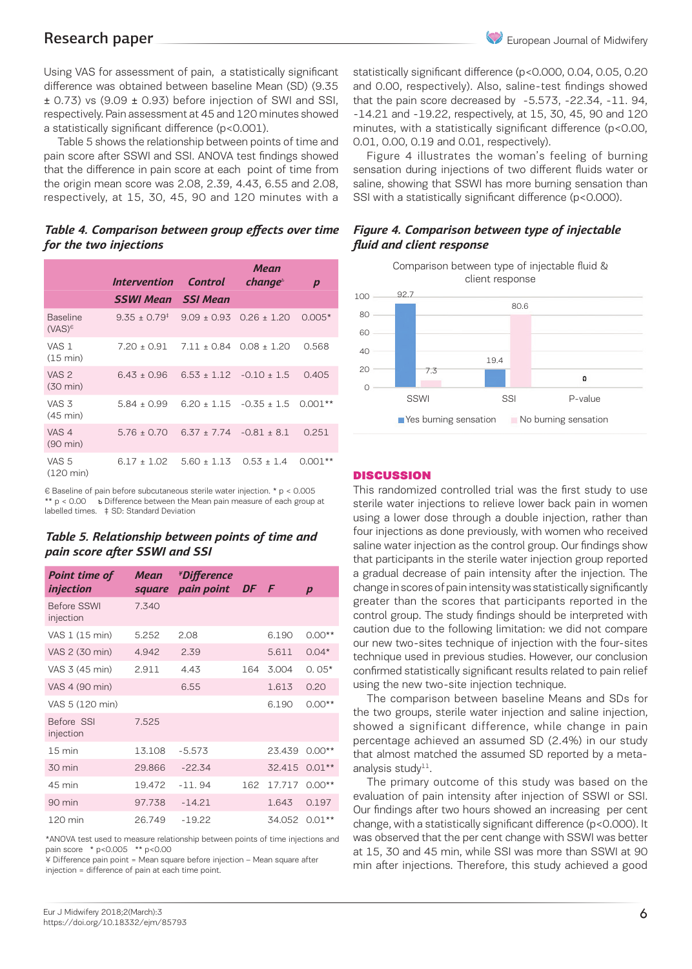Using VAS for assessment of pain, a statistically significant difference was obtained between baseline Mean (SD) (9.35  $\pm$  0.73) vs (9.09  $\pm$  0.93) before injection of SWI and SSI, respectively. Pain assessment at 45 and 120 minutes showed a statistically significant difference (p<0.001).

Table 5 shows the relationship between points of time and pain score after SSWI and SSI. ANOVA test findings showed that the difference in pain score at each point of time from the origin mean score was 2.08, 2.39, 4.43, 6.55 and 2.08, respectively, at 15, 30, 45, 90 and 120 minutes with a

#### *Table 4. Comparison between group effects over time for the two injections*

|                                        | Intervention Control          |                            | Mean<br>change <sup>5</sup> | $\boldsymbol{p}$ |
|----------------------------------------|-------------------------------|----------------------------|-----------------------------|------------------|
|                                        | <b>SSWI Mean</b> SSI Mean     |                            |                             |                  |
| <b>Baseline</b><br>$(VAS)^{\epsilon}$  | $9.35 + 0.79^*$ $9.09 + 0.93$ |                            | $0.26 + 1.20$               | $0.005*$         |
| VAS 1<br>$(15 \text{ min})$            | $7.20 \pm 0.91$               | $7.11 + 0.84$              | $0.08 + 1.20$               | 0.568            |
| VAS <sub>2</sub><br>$(30 \text{ min})$ | $6.43 + 0.96$                 |                            | $6.53 + 1.12 - 0.10 + 1.5$  | 0.405            |
| VAS <sub>3</sub><br>$(45 \text{ min})$ | $5.84 + 0.99$                 |                            | $6.20 + 1.15 - 0.35 + 1.5$  | 0.001            |
| VAS <sub>4</sub><br>$(90 \text{ min})$ | $5.76 + 0.70$                 | $6.37 + 7.74 - 0.81 + 8.1$ |                             | 0.251            |
| VAS 5<br>$(120 \text{ min})$           | $6.17 + 1.02$                 | $5.60 + 1.13$              | $0.53 + 1.4$                | റ ററ             |

€ Baseline of pain before subcutaneous sterile water injection. \* p < 0.005 \*\* p < 0.00 ѣ Difference between the Mean pain measure of each group at labelled times. ‡ SD: Standard Deviation

#### *Table 5. Relationship between points of time and pain score after SSWI and SSI*

| <b>Point time of</b><br><i>injection</i> | <b>Mean</b><br>square | <i><b>*Difference</b></i><br>pain point DF F |     |        | $\boldsymbol{p}$ |
|------------------------------------------|-----------------------|----------------------------------------------|-----|--------|------------------|
| <b>Before SSWI</b><br>injection          | 7.340                 |                                              |     |        |                  |
| VAS 1 (15 min)                           | 5.252                 | 2.08                                         |     | 6.190  | $0.00**$         |
| VAS 2 (30 min)                           | 4.942                 | 2.39                                         |     | 5.611  | $0.04*$          |
| VAS 3 (45 min)                           | 2.911                 | 4.43                                         | 164 | 3.004  | $0.05*$          |
| VAS 4 (90 min)                           |                       | 6.55                                         |     | 1.613  | 0.20             |
| VAS 5 (120 min)                          |                       |                                              |     | 6.190  | $0.00**$         |
| Before SSI<br>injection                  | 7.525                 |                                              |     |        |                  |
| $15 \text{ min}$                         | 13.108                | $-5.573$                                     |     | 23.439 | $0.00**$         |
| 30 min                                   | 29.866                | $-22.34$                                     |     | 32.415 | $0.01**$         |
| 45 min                                   | 19.472                | $-11.94$                                     | 162 | 17.717 | $0.00**$         |
| 90 min                                   | 97.738                | $-14.21$                                     |     | 1.643  | 0.197            |
| 120 min                                  | 26.749                | $-19.22$                                     |     | 34.052 | $0.01**$         |

\*ANOVA test used to measure relationship between points of time injections and pain score \* p<0.005 \*\* p<0.00

¥ Difference pain point = Mean square before injection – Mean square after injection = difference of pain at each time point.

statistically significant difference (p<0.000, 0.04, 0.05, 0.20 and 0.00, respectively). Also, saline-test findings showed that the pain score decreased by -5.573, -22.34, -11. 94, -14.21 and -19.22, respectively, at 15, 30, 45, 90 and 120 minutes, with a statistically significant difference (p<0.00, 0.01, 0.00, 0.19 and 0.01, respectively).

Figure 4 illustrates the woman's feeling of burning sensation during injections of two different fluids water or saline, showing that SSWI has more burning sensation than SSI with a statistically significant difference (p<0.000).

### *Figure 4. Comparison between type of injectable fluid and client response*

Comparison between type of injectable fluid & client response



#### DISCUSSION

This randomized controlled trial was the first study to use sterile water injections to relieve lower back pain in women using a lower dose through a double injection, rather than four injections as done previously, with women who received saline water injection as the control group. Our findings show that participants in the sterile water injection group reported a gradual decrease of pain intensity after the injection. The change in scores of pain intensity was statistically significantly greater than the scores that participants reported in the control group. The study findings should be interpreted with caution due to the following limitation: we did not compare our new two-sites technique of injection with the four-sites technique used in previous studies. However, our conclusion confirmed statistically significant results related to pain relief using the new two-site injection technique.

The comparison between baseline Means and SDs for the two groups, sterile water injection and saline injection, showed a significant difference, while change in pain percentage achieved an assumed SD (2.4%) in our study that almost matched the assumed SD reported by a metaanalysis study $11$ .

The primary outcome of this study was based on the evaluation of pain intensity after injection of SSWI or SSI. Our findings after two hours showed an increasing per cent change, with a statistically significant difference (p<0.000). It was observed that the per cent change with SSWI was better at 15, 30 and 45 min, while SSI was more than SSWI at 90 min after injections. Therefore, this study achieved a good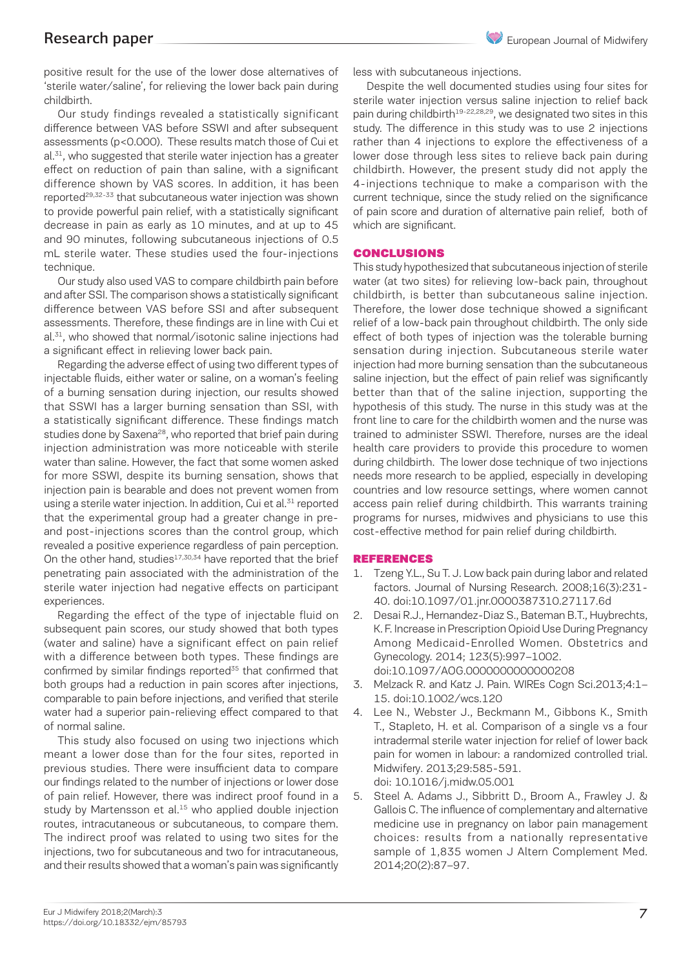positive result for the use of the lower dose alternatives of 'sterile water/saline', for relieving the lower back pain during childbirth.

Our study findings revealed a statistically significant difference between VAS before SSWI and after subsequent assessments (p<0.000). These results match those of Cui et  $al.$ <sup>31</sup>, who suggested that sterile water injection has a greater effect on reduction of pain than saline, with a significant difference shown by VAS scores. In addition, it has been reported<sup>29,32-33</sup> that subcutaneous water injection was shown to provide powerful pain relief, with a statistically significant decrease in pain as early as 10 minutes, and at up to 45 and 90 minutes, following subcutaneous injections of 0.5 mL sterile water. These studies used the four-injections technique.

Our study also used VAS to compare childbirth pain before and after SSI. The comparison shows a statistically significant difference between VAS before SSI and after subsequent assessments. Therefore, these findings are in line with Cui et al.<sup>31</sup>, who showed that normal/isotonic saline injections had a significant effect in relieving lower back pain.

Regarding the adverse effect of using two different types of injectable fluids, either water or saline, on a woman's feeling of a burning sensation during injection, our results showed that SSWI has a larger burning sensation than SSI, with a statistically significant difference. These findings match studies done by Saxena<sup>28</sup>, who reported that brief pain during injection administration was more noticeable with sterile water than saline. However, the fact that some women asked for more SSWI, despite its burning sensation, shows that injection pain is bearable and does not prevent women from using a sterile water injection. In addition, Cui et al.<sup>31</sup> reported that the experimental group had a greater change in preand post-injections scores than the control group, which revealed a positive experience regardless of pain perception. On the other hand, studies $17,30,34$  have reported that the brief penetrating pain associated with the administration of the sterile water injection had negative effects on participant experiences.

Regarding the effect of the type of injectable fluid on subsequent pain scores, our study showed that both types (water and saline) have a significant effect on pain relief with a difference between both types. These findings are confirmed by similar findings reported<sup>35</sup> that confirmed that both groups had a reduction in pain scores after injections, comparable to pain before injections, and verified that sterile water had a superior pain-relieving effect compared to that of normal saline.

This study also focused on using two injections which meant a lower dose than for the four sites, reported in previous studies. There were insufficient data to compare our findings related to the number of injections or lower dose of pain relief. However, there was indirect proof found in a study by Martensson et al.<sup>15</sup> who applied double injection routes, intracutaneous or subcutaneous, to compare them. The indirect proof was related to using two sites for the injections, two for subcutaneous and two for intracutaneous, and their results showed that a woman's pain was significantly

less with subcutaneous injections.

Despite the well documented studies using four sites for sterile water injection versus saline injection to relief back pain during childbirth<sup>19-22,28,29</sup>, we designated two sites in this study. The difference in this study was to use 2 injections rather than 4 injections to explore the effectiveness of a lower dose through less sites to relieve back pain during childbirth. However, the present study did not apply the 4-injections technique to make a comparison with the current technique, since the study relied on the significance of pain score and duration of alternative pain relief, both of which are significant.

#### CONCLUSIONS

This study hypothesized that subcutaneous injection of sterile water (at two sites) for relieving low-back pain, throughout childbirth, is better than subcutaneous saline injection. Therefore, the lower dose technique showed a significant relief of a low-back pain throughout childbirth. The only side effect of both types of injection was the tolerable burning sensation during injection. Subcutaneous sterile water injection had more burning sensation than the subcutaneous saline injection, but the effect of pain relief was significantly better than that of the saline injection, supporting the hypothesis of this study. The nurse in this study was at the front line to care for the childbirth women and the nurse was trained to administer SSWI. Therefore, nurses are the ideal health care providers to provide this procedure to women during childbirth. The lower dose technique of two injections needs more research to be applied, especially in developing countries and low resource settings, where women cannot access pain relief during childbirth. This warrants training programs for nurses, midwives and physicians to use this cost-effective method for pain relief during childbirth.

#### REFERENCES

- 1. Tzeng Y.L., Su T. J. Low back pain during labor and related factors. Journal of Nursing Research. 2008;16(3):231- 40. doi:10.1097/01.jnr.0000387310.27117.6d
- 2. Desai R.J., Hernandez-Diaz S., Bateman B.T., Huybrechts, K. F. Increase in Prescription Opioid Use During Pregnancy Among Medicaid-Enrolled Women. Obstetrics and Gynecology. 2014; 123(5):997–1002. doi:10.1097/AOG.0000000000000208
- 3. Melzack R. and Katz J. Pain. WIREs Cogn Sci.2013;4:1– 15. doi:10.1002/wcs.120
- 4. Lee N., Webster J., Beckmann M., Gibbons K., Smith T., Stapleto, H. et al. Comparison of a single vs a four intradermal sterile water injection for relief of lower back pain for women in labour: a randomized controlled trial. Midwifery. 2013;29:585-591. doi: 10.1016/j.midw.05.001
- 5. Steel A. Adams J., Sibbritt D., Broom A., Frawley J. & Gallois C. The influence of complementary and alternative medicine use in pregnancy on labor pain management choices: results from a nationally representative sample of 1,835 women J Altern Complement Med. 2014;20(2):87–97.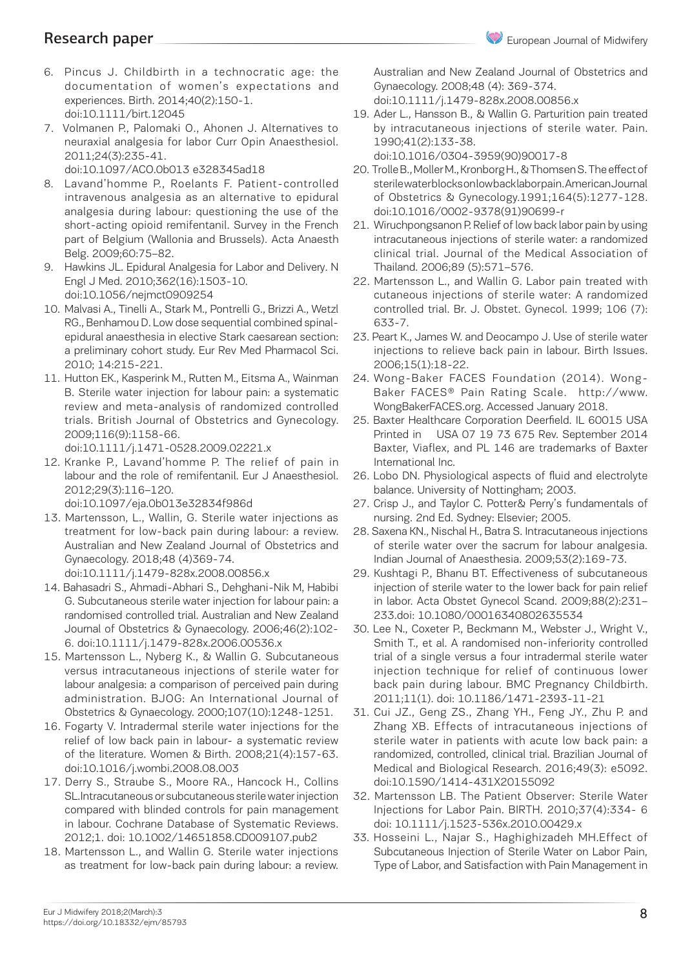- 6. Pincus J. Childbirth in a technocratic age: the documentation of women's expectations and experiences. Birth. 2014;40(2):150-1. doi:10.1111/birt.12045
- 7. Volmanen P., Palomaki O., Ahonen J. Alternatives to neuraxial analgesia for labor Curr Opin Anaesthesiol. 2011;24(3):235-41.

doi:10.1097/ACO.0b013 e328345ad18

- 8. Lavand'homme P., Roelants F. Patient-controlled intravenous analgesia as an alternative to epidural analgesia during labour: questioning the use of the short-acting opioid remifentanil. Survey in the French part of Belgium (Wallonia and Brussels). Acta Anaesth Belg. 2009;60:75–82.
- 9. Hawkins JL. Epidural Analgesia for Labor and Delivery. N Engl J Med. 2010;362(16):1503-10. doi:10.1056/nejmct0909254
- 10. Malvasi A., Tinelli A., Stark M., Pontrelli G., Brizzi A., Wetzl RG., Benhamou D. Low dose sequential combined spinalepidural anaesthesia in elective Stark caesarean section: a preliminary cohort study. Eur Rev Med Pharmacol Sci. 2010; 14:215-221.
- 11. Hutton EK., Kasperink M., Rutten M., Eitsma A., Wainman B. Sterile water injection for labour pain: a systematic review and meta-analysis of randomized controlled trials. British Journal of Obstetrics and Gynecology. 2009;116(9):1158-66. doi:10.1111/j.1471-0528.2009.02221.x
- 12. Kranke P., Lavand'homme P. The relief of pain in labour and the role of remifentanil. Eur J Anaesthesiol. 2012;29(3):116–120.

doi:10.1097/eja.0b013e32834f986d

- 13. Martensson, L., Wallin, G. Sterile water injections as treatment for low-back pain during labour: a review. Australian and New Zealand Journal of Obstetrics and Gynaecology. 2018;48 (4)369-74. doi:10.1111/j.1479-828x.2008.00856.x
- 14. Bahasadri S., Ahmadi-Abhari S., Dehghani-Nik M, Habibi G. Subcutaneous sterile water injection for labour pain: a randomised controlled trial. Australian and New Zealand Journal of Obstetrics & Gynaecology. 2006;46(2):102- 6. doi:10.1111/j.1479-828x.2006.00536.x
- 15. Martensson L., Nyberg K., & Wallin G. Subcutaneous versus intracutaneous injections of sterile water for labour analgesia: a comparison of perceived pain during administration. BJOG: An International Journal of Obstetrics & Gynaecology. 2000;107(10):1248-1251.
- 16. Fogarty V. Intradermal sterile water injections for the relief of low back pain in labour- a systematic review of the literature. Women & Birth. 2008;21(4):157-63. doi:10.1016/j.wombi.2008.08.003
- 17. Derry S., Straube S., Moore RA., Hancock H., Collins SL.Intracutaneous or subcutaneous sterile water injection compared with blinded controls for pain management in labour. Cochrane Database of Systematic Reviews. 2012;1. doi: 10.1002/14651858.CD009107.pub2
- 18. Martensson L., and Wallin G. Sterile water injections as treatment for low-back pain during labour: a review.

Australian and New Zealand Journal of Obstetrics and Gynaecology. 2008;48 (4): 369-374. doi:10.1111/j.1479-828x.2008.00856.x

19. Ader L., Hansson B., & Wallin G. Parturition pain treated by intracutaneous injections of sterile water. Pain. 1990;41(2):133-38.

doi:10.1016/0304-3959(90)90017-8

- 20. Trolle B., Moller M., Kronborg H., & Thomsen S. The effect of sterile water blocks on low back labor pain. American Journal of Obstetrics & Gynecology.1991;164(5):1277-128. doi:10.1016/0002-9378(91)90699-r
- 21. Wiruchpongsanon P. Relief of low back labor pain by using intracutaneous injections of sterile water: a randomized clinical trial. Journal of the Medical Association of Thailand. 2006;89 (5):571–576.
- 22. Martensson L., and Wallin G. Labor pain treated with cutaneous injections of sterile water: A randomized controlled trial. Br. J. Obstet. Gynecol. 1999; 106 (7): 633-7.
- 23. Peart K., James W. and Deocampo J. Use of sterile water injections to relieve back pain in labour. Birth Issues. 2006;15(1):18-22.
- 24. Wong-Baker FACES Foundation (2014). Wong-Baker FACES® Pain Rating Scale. http://www. WongBakerFACES.org. Accessed January 2018.
- 25. Baxter Healthcare Corporation Deerfield. IL 60015 USA Printed in USA 07 19 73 675 Rev. September 2014 Baxter, Viaflex, and PL 146 are trademarks of Baxter International Inc.
- 26. Lobo DN. Physiological aspects of fluid and electrolyte balance. University of Nottingham; 2003.
- 27. Crisp J., and Taylor C. Potter& Perry's fundamentals of nursing. 2nd Ed. Sydney: Elsevier; 2005.
- 28. Saxena KN., Nischal H., Batra S. Intracutaneous injections of sterile water over the sacrum for labour analgesia. Indian Journal of Anaesthesia. 2009;53(2):169-73.
- 29. Kushtagi P., Bhanu BT. Effectiveness of subcutaneous injection of sterile water to the lower back for pain relief in labor. Acta Obstet Gynecol Scand. 2009;88(2):231– 233.doi: 10.1080/00016340802635534
- 30. Lee N., Coxeter P., Beckmann M., Webster J., Wright V., Smith T., et al. A randomised non-inferiority controlled trial of a single versus a four intradermal sterile water injection technique for relief of continuous lower back pain during labour. BMC Pregnancy Childbirth. 2011;11(1). doi: 10.1186/1471-2393-11-21
- 31. Cui JZ., Geng ZS., Zhang YH., Feng JY., Zhu P. and Zhang XB. Effects of intracutaneous injections of sterile water in patients with acute low back pain: a randomized, controlled, clinical trial. Brazilian Journal of Medical and Biological Research. 2016;49(3): e5092. doi:10.1590/1414-431X20155092
- 32. Martensson LB. The Patient Observer: Sterile Water Injections for Labor Pain. BIRTH. 2010;37(4):334- 6 doi: 10.1111/j.1523-536x.2010.00429.x
- 33. Hosseini L., Najar S., Haghighizadeh MH.Effect of Subcutaneous Injection of Sterile Water on Labor Pain, Type of Labor, and Satisfaction with Pain Management in